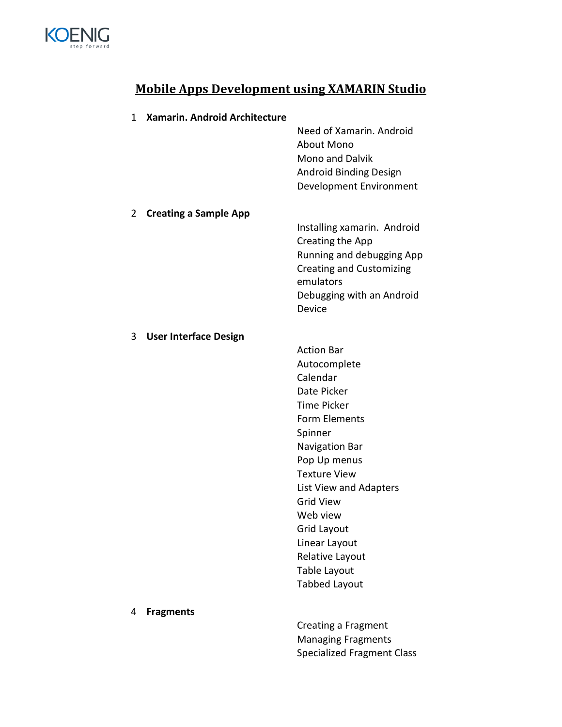

## **Mobile Apps Development using XAMARIN Studio**

| 1 | <b>Xamarin. Android Architecture</b> |                                                                                                                                                                                                                                                                                                                              |
|---|--------------------------------------|------------------------------------------------------------------------------------------------------------------------------------------------------------------------------------------------------------------------------------------------------------------------------------------------------------------------------|
|   |                                      | Need of Xamarin, Android<br>About Mono<br><b>Mono and Dalvik</b><br><b>Android Binding Design</b><br>Development Environment                                                                                                                                                                                                 |
| 2 | <b>Creating a Sample App</b>         | Installing xamarin. Android<br>Creating the App<br>Running and debugging App<br><b>Creating and Customizing</b><br>emulators<br>Debugging with an Android<br>Device                                                                                                                                                          |
| 3 | <b>User Interface Design</b>         | <b>Action Bar</b><br>Autocomplete<br>Calendar<br>Date Picker<br><b>Time Picker</b><br>Form Elements<br>Spinner<br>Navigation Bar<br>Pop Up menus<br><b>Texture View</b><br>List View and Adapters<br><b>Grid View</b><br>Web view<br>Grid Layout<br>Linear Layout<br>Relative Layout<br>Table Layout<br><b>Tabbed Layout</b> |
| 4 | <b>Fragments</b>                     | Creating a Fragment<br><b>Managing Fragments</b><br><b>Specialized Fragment Class</b>                                                                                                                                                                                                                                        |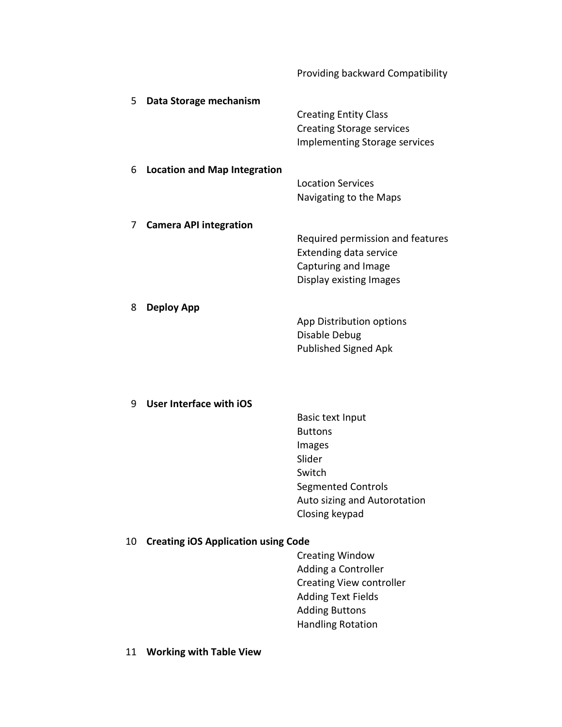|    |                                            | Providing backward Compatibility     |
|----|--------------------------------------------|--------------------------------------|
| 5  | Data Storage mechanism                     |                                      |
|    |                                            | <b>Creating Entity Class</b>         |
|    |                                            | <b>Creating Storage services</b>     |
|    |                                            | <b>Implementing Storage services</b> |
| 6  | <b>Location and Map Integration</b>        |                                      |
|    |                                            | <b>Location Services</b>             |
|    |                                            | Navigating to the Maps               |
| 7  | <b>Camera API integration</b>              |                                      |
|    |                                            | Required permission and features     |
|    |                                            | <b>Extending data service</b>        |
|    |                                            | Capturing and Image                  |
|    |                                            | Display existing Images              |
| 8  | <b>Deploy App</b>                          |                                      |
|    |                                            | App Distribution options             |
|    |                                            | Disable Debug                        |
|    |                                            | <b>Published Signed Apk</b>          |
|    |                                            |                                      |
| 9  | User Interface with iOS                    |                                      |
|    |                                            | <b>Basic text Input</b>              |
|    |                                            | <b>Buttons</b>                       |
|    |                                            | Images<br>Slider                     |
|    |                                            | Switch                               |
|    |                                            | <b>Segmented Controls</b>            |
|    |                                            | Auto sizing and Autorotation         |
|    |                                            | Closing keypad                       |
| 10 | <b>Creating iOS Application using Code</b> |                                      |
|    |                                            | <b>Creating Window</b>               |
|    |                                            | Adding a Controller                  |
|    |                                            | <b>Creating View controller</b>      |
|    |                                            | <b>Adding Text Fields</b>            |
|    |                                            | <b>Adding Buttons</b>                |
|    |                                            | <b>Handling Rotation</b>             |
|    |                                            |                                      |

11 **Working with Table View**